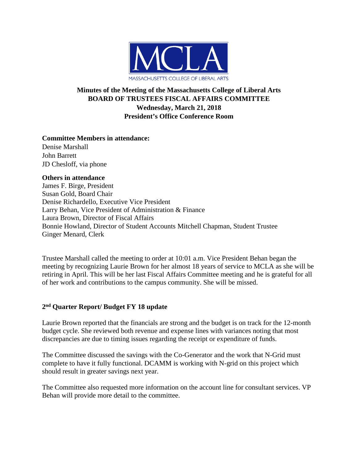

# **Minutes of the Meeting of the Massachusetts College of Liberal Arts BOARD OF TRUSTEES FISCAL AFFAIRS COMMITTEE Wednesday, March 21, 2018 President's Office Conference Room**

### **Committee Members in attendance:**

Denise Marshall John Barrett JD Chesloff, via phone

#### **Others in attendance**

James F. Birge, President Susan Gold, Board Chair Denise Richardello, Executive Vice President Larry Behan, Vice President of Administration & Finance Laura Brown, Director of Fiscal Affairs Bonnie Howland, Director of Student Accounts Mitchell Chapman, Student Trustee Ginger Menard, Clerk

Trustee Marshall called the meeting to order at 10:01 a.m. Vice President Behan began the meeting by recognizing Laurie Brown for her almost 18 years of service to MCLA as she will be retiring in April. This will be her last Fiscal Affairs Committee meeting and he is grateful for all of her work and contributions to the campus community. She will be missed.

### **2nd Quarter Report/ Budget FY 18 update**

Laurie Brown reported that the financials are strong and the budget is on track for the 12-month budget cycle. She reviewed both revenue and expense lines with variances noting that most discrepancies are due to timing issues regarding the receipt or expenditure of funds.

The Committee discussed the savings with the Co-Generator and the work that N-Grid must complete to have it fully functional. DCAMM is working with N-grid on this project which should result in greater savings next year.

The Committee also requested more information on the account line for consultant services. VP Behan will provide more detail to the committee.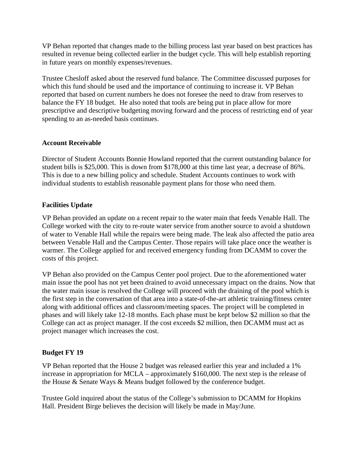VP Behan reported that changes made to the billing process last year based on best practices has resulted in revenue being collected earlier in the budget cycle. This will help establish reporting in future years on monthly expenses/revenues.

Trustee Chesloff asked about the reserved fund balance. The Committee discussed purposes for which this fund should be used and the importance of continuing to increase it. VP Behan reported that based on current numbers he does not foresee the need to draw from reserves to balance the FY 18 budget. He also noted that tools are being put in place allow for more prescriptive and descriptive budgeting moving forward and the process of restricting end of year spending to an as-needed basis continues.

### **Account Receivable**

Director of Student Accounts Bonnie Howland reported that the current outstanding balance for student bills is \$25,000. This is down from \$178,000 at this time last year, a decrease of 86%. This is due to a new billing policy and schedule. Student Accounts continues to work with individual students to establish reasonable payment plans for those who need them.

## **Facilities Update**

VP Behan provided an update on a recent repair to the water main that feeds Venable Hall. The College worked with the city to re-route water service from another source to avoid a shutdown of water to Venable Hall while the repairs were being made. The leak also affected the patio area between Venable Hall and the Campus Center. Those repairs will take place once the weather is warmer. The College applied for and received emergency funding from DCAMM to cover the costs of this project.

VP Behan also provided on the Campus Center pool project. Due to the aforementioned water main issue the pool has not yet been drained to avoid unnecessary impact on the drains. Now that the water main issue is resolved the College will proceed with the draining of the pool which is the first step in the conversation of that area into a state-of-the-art athletic training/fitness center along with additional offices and classroom/meeting spaces. The project will be completed in phases and will likely take 12-18 months. Each phase must be kept below \$2 million so that the College can act as project manager. If the cost exceeds \$2 million, then DCAMM must act as project manager which increases the cost.

# **Budget FY 19**

VP Behan reported that the House 2 budget was released earlier this year and included a 1% increase in appropriation for MCLA – approximately \$160,000. The next step is the release of the House & Senate Ways & Means budget followed by the conference budget.

Trustee Gold inquired about the status of the College's submission to DCAMM for Hopkins Hall. President Birge believes the decision will likely be made in May/June.